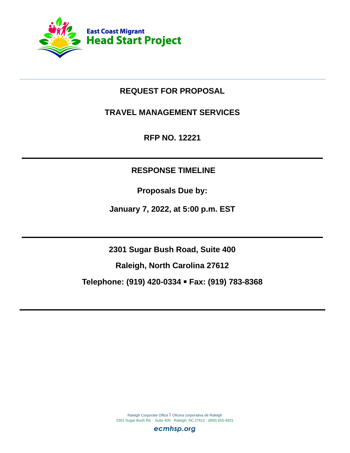

# **REQUEST FOR PROPOSAL**

**TRAVEL MANAGEMENT SERVICES**

**RFP NO. 12221**

# **RESPONSE TIMELINE**

**Proposals Due by:**

**January 7, 2022, at 5:00 p.m. EST**

**2301 Sugar Bush Road, Suite 400**

**Raleigh, North Carolina 27612**

**Telephone: (919) 420-0334** ▪ **Fax: (919) 783-8368**

Raleigh Corporate Office | Oficina corporativa de Raleigh 2301 Sugar Bush Rd. · Suite 400 · Raleigh, NC 27612 · (800) 655-6831

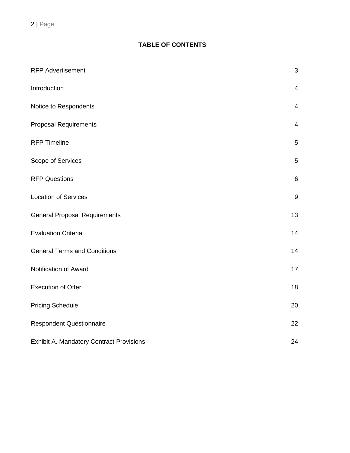# **TABLE OF CONTENTS**

| <b>RFP Advertisement</b>                 | 3              |
|------------------------------------------|----------------|
| Introduction                             | $\overline{4}$ |
| Notice to Respondents                    | $\overline{4}$ |
| <b>Proposal Requirements</b>             | 4              |
| <b>RFP Timeline</b>                      | 5              |
| Scope of Services                        | 5              |
| <b>RFP Questions</b>                     | 6              |
| <b>Location of Services</b>              | 9              |
| <b>General Proposal Requirements</b>     | 13             |
| <b>Evaluation Criteria</b>               | 14             |
| <b>General Terms and Conditions</b>      | 14             |
| Notification of Award                    | 17             |
| <b>Execution of Offer</b>                | 18             |
| <b>Pricing Schedule</b>                  | 20             |
| <b>Respondent Questionnaire</b>          | 22             |
| Exhibit A. Mandatory Contract Provisions | 24             |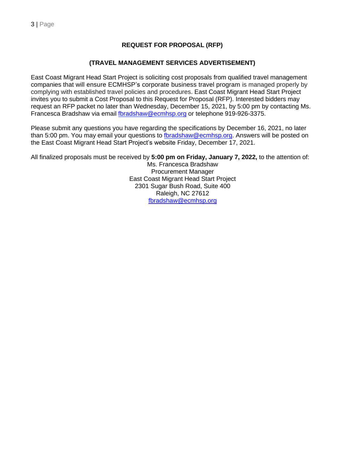## **REQUEST FOR PROPOSAL (RFP)**

### **(TRAVEL MANAGEMENT SERVICES ADVERTISEMENT)**

East Coast Migrant Head Start Project is soliciting cost proposals from qualified travel management companies that will ensure ECMHSP's corporate business travel program is managed properly by complying with established travel policies and procedures. East Coast Migrant Head Start Project invites you to submit a Cost Proposal to this Request for Proposal (RFP). Interested bidders may request an RFP packet no later than Wednesday, December 15, 2021, by 5:00 pm by contacting Ms. Francesca Bradshaw via email [fbradshaw@ecmhsp.org](mailto:fbradshaw@ecmhsp.org) or telephone 919-926-3375.

Please submit any questions you have regarding the specifications by December 16, 2021, no later than 5:00 pm. You may email your questions to [fbradshaw@ecmhsp.org.](mailto:fbradshaw@ecmhsp.org) Answers will be posted on the East Coast Migrant Head Start Project's website Friday, December 17, 2021.

All finalized proposals must be received by **5:00 pm on Friday, January 7, 2022,** to the attention of:

Ms. Francesca Bradshaw Procurement Manager East Coast Migrant Head Start Project 2301 Sugar Bush Road, Suite 400 Raleigh, NC 27612 [fbradshaw@ecmhsp.org](mailto:fbradshaw@ecmhsp.org)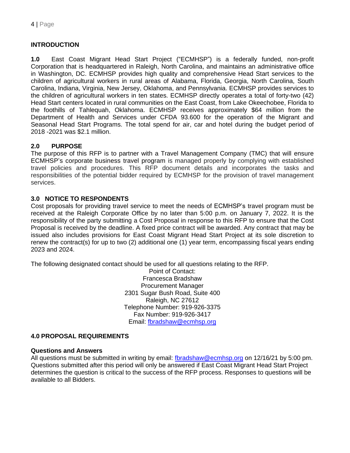# **INTRODUCTION**

**1.0** East Coast Migrant Head Start Project ("ECMHSP") is a federally funded, non-profit Corporation that is headquartered in Raleigh, North Carolina, and maintains an administrative office in Washington, DC. ECMHSP provides high quality and comprehensive Head Start services to the children of agricultural workers in rural areas of Alabama, Florida, Georgia, North Carolina, South Carolina, Indiana, Virginia, New Jersey, Oklahoma, and Pennsylvania. ECMHSP provides services to the children of agricultural workers in ten states. ECMHSP directly operates a total of forty-two (42) Head Start centers located in rural communities on the East Coast, from Lake Okeechobee, Florida to the foothills of Tahlequah, Oklahoma. ECMHSP receives approximately \$64 million from the Department of Health and Services under CFDA 93.600 for the operation of the Migrant and Seasonal Head Start Programs. The total spend for air, car and hotel during the budget period of 2018 -2021 was \$2.1 million.

### **2.0 PURPOSE**

The purpose of this RFP is to partner with a Travel Management Company (TMC) that will ensure ECMHSP's corporate business travel program is managed properly by complying with established travel policies and procedures. This RFP document details and incorporates the tasks and responsibilities of the potential bidder required by ECMHSP for the provision of travel management services.

## **3.0 NOTICE TO RESPONDENTS**

Cost proposals for providing travel service to meet the needs of ECMHSP's travel program must be received at the Raleigh Corporate Office by no later than 5:00 p.m. on January 7, 2022. It is the responsibility of the party submitting a Cost Proposal in response to this RFP to ensure that the Cost Proposal is received by the deadline. A fixed price contract will be awarded. Any contract that may be issued also includes provisions for East Coast Migrant Head Start Project at its sole discretion to renew the contract(s) for up to two (2) additional one (1) year term, encompassing fiscal years ending 2023 and 2024.

The following designated contact should be used for all questions relating to the RFP.

Point of Contact: Francesca Bradshaw Procurement Manager 2301 Sugar Bush Road, Suite 400 Raleigh, NC 27612 Telephone Number: 919-926-3375 Fax Number: 919-926-3417 Email: [fbradshaw@ecmhsp.org](mailto:fbradshaw@ecmhsp.org)

### **4.0 PROPOSAL REQUIREMENTS**

#### **Questions and Answers**

All questions must be submitted in writing by email: for adshaw@ecmhsp.org on 12/16/21 by 5:00 pm. Questions submitted after this period will only be answered if East Coast Migrant Head Start Project determines the question is critical to the success of the RFP process. Responses to questions will be available to all Bidders.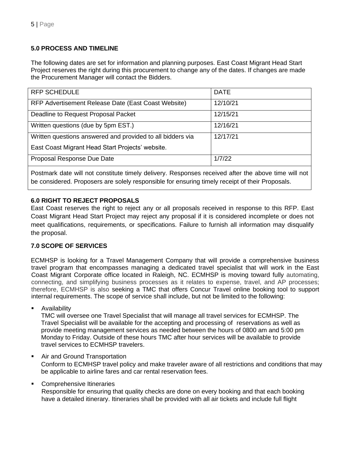# **5.0 PROCESS AND TIMELINE**

The following dates are set for information and planning purposes. East Coast Migrant Head Start Project reserves the right during this procurement to change any of the dates. If changes are made the Procurement Manager will contact the Bidders.

| <b>RFP SCHEDULE</b>                                        | <b>DATE</b> |
|------------------------------------------------------------|-------------|
| RFP Advertisement Release Date (East Coast Website)        | 12/10/21    |
| Deadline to Request Proposal Packet                        | 12/15/21    |
| Written questions (due by 5pm EST.)                        | 12/16/21    |
| Written questions answered and provided to all bidders via | 12/17/21    |
| East Coast Migrant Head Start Projects' website.           |             |
| Proposal Response Due Date                                 | 1/7/22      |
|                                                            |             |

Postmark date will not constitute timely delivery. Responses received after the above time will not be considered. Proposers are solely responsible for ensuring timely receipt of their Proposals.

## **6.0 RIGHT TO REJECT PROPOSALS**

East Coast reserves the right to reject any or all proposals received in response to this RFP. East Coast Migrant Head Start Project may reject any proposal if it is considered incomplete or does not meet qualifications, requirements, or specifications. Failure to furnish all information may disqualify the proposal.

# **7.0 SCOPE OF SERVICES**

ECMHSP is looking for a Travel Management Company that will provide a comprehensive business travel program that encompasses managing a dedicated travel specialist that will work in the East Coast Migrant Corporate office located in Raleigh, NC. ECMHSP is moving toward fully automating, connecting, and simplifying business processes as it relates to expense, travel, and AP processes; therefore, ECMHSP is also seeking a TMC that offers Concur Travel online booking tool to support internal requirements. The scope of service shall include, but not be limited to the following:

**Availability** 

TMC will oversee one Travel Specialist that will manage all travel services for ECMHSP. The Travel Specialist will be available for the accepting and processing of reservations as well as provide meeting management services as needed between the hours of 0800 am and 5:00 pm Monday to Friday. Outside of these hours TMC after hour services will be available to provide travel services to ECMHSP travelers.

### Air and Ground Transportation

Conform to ECMHSP travel policy and make traveler aware of all restrictions and conditions that may be applicable to airline fares and car rental reservation fees.

### Comprehensive Itineraries

Responsible for ensuring that quality checks are done on every booking and that each booking have a detailed itinerary. Itineraries shall be provided with all air tickets and include full flight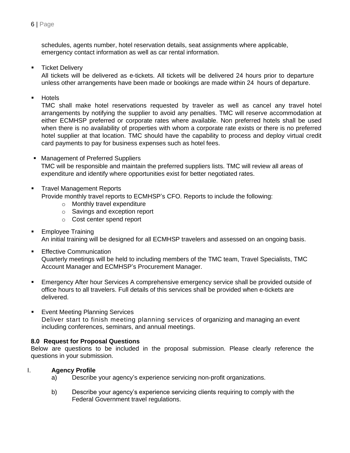schedules, agents number, hotel reservation details, seat assignments where applicable, emergency contact information as well as car rental information.

**■** Ticket Delivery

All tickets will be delivered as e-tickets. All tickets will be delivered 24 hours prior to departure unless other arrangements have been made or bookings are made within 24 hours of departure.

**Hotels** 

TMC shall make hotel reservations requested by traveler as well as cancel any travel hotel arrangements by notifying the supplier to avoid any penalties. TMC will reserve accommodation at either ECMHSP preferred or corporate rates where available. Non preferred hotels shall be used when there is no availability of properties with whom a corporate rate exists or there is no preferred hotel supplier at that location. TMC should have the capability to process and deploy virtual credit card payments to pay for business expenses such as hotel fees.

■ Management of Preferred Suppliers

TMC will be responsible and maintain the preferred suppliers lists. TMC will review all areas of expenditure and identify where opportunities exist for better negotiated rates.

**• Travel Management Reports** 

Provide monthly travel reports to ECMHSP's CFO. Reports to include the following:

- o Monthly travel expenditure
- o Savings and exception report
- o Cost center spend report
- Employee Training An initial training will be designed for all ECMHSP travelers and assessed on an ongoing basis.
- Effective Communication

Quarterly meetings will be held to including members of the TMC team, Travel Specialists, TMC Account Manager and ECMHSP's Procurement Manager.

- **Emergency After hour Services A comprehensive emergency service shall be provided outside of** office hours to all travelers. Full details of this services shall be provided when e-tickets are delivered.
- Event Meeting Planning Services Deliver start to finish meeting planning services of organizing and managing an event including conferences, seminars, and annual meetings.

### **8.0 Request for Proposal Questions**

Below are questions to be included in the proposal submission. Please clearly reference the questions in your submission.

#### I. **Agency Profile**

- a) Describe your agency's experience servicing non-profit organizations.
- b) Describe your agency's experience servicing clients requiring to comply with the Federal Government travel regulations.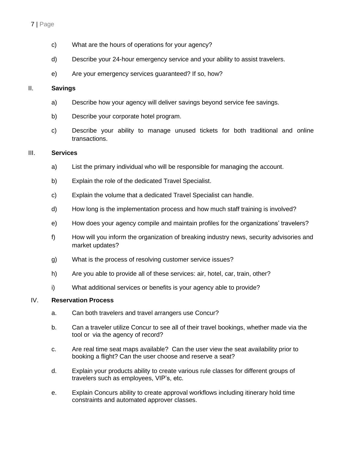- c) What are the hours of operations for your agency?
- d) Describe your 24-hour emergency service and your ability to assist travelers.
- e) Are your emergency services guaranteed? If so, how?

## II. **Savings**

- a) Describe how your agency will deliver savings beyond service fee savings.
- b) Describe your corporate hotel program.
- c) Describe your ability to manage unused tickets for both traditional and online transactions.

## III. **Services**

- a) List the primary individual who will be responsible for managing the account.
- b) Explain the role of the dedicated Travel Specialist.
- c) Explain the volume that a dedicated Travel Specialist can handle.
- d) How long is the implementation process and how much staff training is involved?
- e) How does your agency compile and maintain profiles for the organizations' travelers?
- f) How will you inform the organization of breaking industry news, security advisories and market updates?
- g) What is the process of resolving customer service issues?
- h) Are you able to provide all of these services: air, hotel, car, train, other?
- i) What additional services or benefits is your agency able to provide?

## IV. **Reservation Process**

- a. Can both travelers and travel arrangers use Concur?
- b. Can a traveler utilize Concur to see all of their travel bookings, whether made via the tool or via the agency of record?
- c. Are real time seat maps available? Can the user view the seat availability prior to booking a flight? Can the user choose and reserve a seat?
- d. Explain your products ability to create various rule classes for different groups of travelers such as employees, VIP's, etc.
- e. Explain Concurs ability to create approval workflows including itinerary hold time constraints and automated approver classes.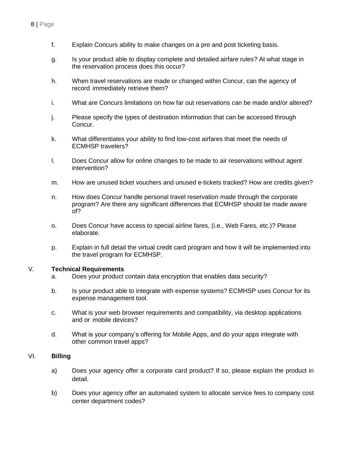- f. Explain Concurs ability to make changes on a pre and post ticketing basis.
- g. Is your product able to display complete and detailed airfare rules? At what stage in the reservation process does this occur?
- h. When travel reservations are made or changed within Concur, can the agency of record immediately retrieve them?
- i. What are Concurs limitations on how far out reservations can be made and/or altered?
- j. Please specify the types of destination information that can be accessed through Concur.
- k. What differentiates your ability to find low-cost airfares that meet the needs of ECMHSP travelers?
- l. Does Concur allow for online changes to be made to air reservations without agent intervention?
- m. How are unused ticket vouchers and unused e-tickets tracked? How are credits given?
- n. How does Concur handle personal travel reservation made through the corporate program? Are there any significant differences that ECMHSP should be made aware of?
- o. Does Concur have access to special airline fares, (i.e., Web Fares, etc.)? Please elaborate.
- p. Explain in full detail the virtual credit card program and how it will be implemented into the travel program for ECMHSP.

### V. **Technical Requirements**

- a. Does your product contain data encryption that enables data security?
- b. Is your product able to integrate with expense systems? ECMHSP uses Concur for its expense management tool.
- c. What is your web browser requirements and compatibility, via desktop applications and or mobile devices?
- d. What is your company's offering for Mobile Apps, and do your apps integrate with other common travel apps?

## VI. **Billing**

- a) Does your agency offer a corporate card product? If so, please explain the product in detail.
- b) Does your agency offer an automated system to allocate service fees to company cost center department codes?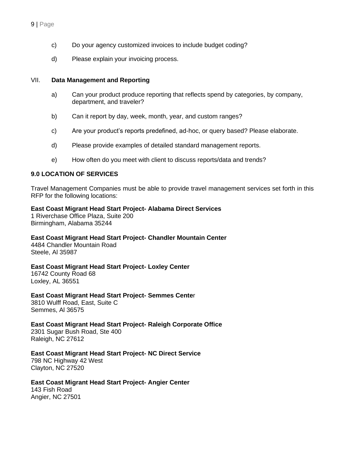- c) Do your agency customized invoices to include budget coding?
- d) Please explain your invoicing process.

### VII. **Data Management and Reporting**

- a) Can your product produce reporting that reflects spend by categories, by company, department, and traveler?
- b) Can it report by day, week, month, year, and custom ranges?
- c) Are your product's reports predefined, ad-hoc, or query based? Please elaborate.
- d) Please provide examples of detailed standard management reports.
- e) How often do you meet with client to discuss reports/data and trends?

### **9.0 LOCATION OF SERVICES**

Travel Management Companies must be able to provide travel management services set forth in this RFP for the following locations:

#### **East Coast Migrant Head Start Project- Alabama Direct Services**

1 Riverchase Office Plaza, Suite 200 Birmingham, Alabama 35244

**East Coast Migrant Head Start Project- Chandler Mountain Center**

4484 Chandler Mountain Road Steele, Al 35987

### **East Coast Migrant Head Start Project- Loxley Center**

16742 County Road 68 Loxley, AL 36551

**East Coast Migrant Head Start Project- Semmes Cente**r

3810 Wulff Road, East, Suite C Semmes, Al 36575

**East Coast Migrant Head Start Project- Raleigh Corporate Office** 2301 Sugar Bush Road, Ste 400 Raleigh, NC 27612

**East Coast Migrant Head Start Project- NC Direct Service**

798 NC Highway 42 West Clayton, NC 27520

**East Coast Migrant Head Start Project- Angier Center** 143 Fish Road Angier, NC 27501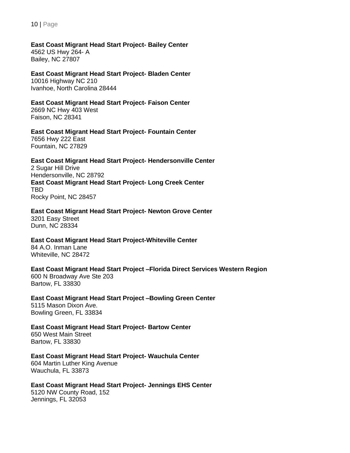# **East Coast Migrant Head Start Project- Bailey Center**

4562 US Hwy 264- A Bailey, NC 27807

### **East Coast Migrant Head Start Project- Bladen Center** 10016 Highway NC 210

Ivanhoe, North Carolina 28444

### **East Coast Migrant Head Start Project- Faison Center**

2669 NC Hwy 403 West Faison, NC 28341

### **East Coast Migrant Head Start Project- Fountain Center** 7656 Hwy 222 East

Fountain, NC 27829

# **East Coast Migrant Head Start Project- Hendersonville Center**

2 Sugar Hill Drive Hendersonville, NC 28792 **East Coast Migrant Head Start Project- Long Creek Center** TBD Rocky Point, NC 28457

# **East Coast Migrant Head Start Project- Newton Grove Center**

3201 Easy Street Dunn, NC 28334

### **East Coast Migrant Head Start Project-Whiteville Center**

84 A.O. Inman Lane Whiteville, NC 28472

### **East Coast Migrant Head Start Project –Florida Direct Services Western Region**

600 N Broadway Ave Ste 203 Bartow, FL 33830

#### **East Coast Migrant Head Start Project –Bowling Green Center** 5115 Mason Dixon Ave. Bowling Green, FL 33834

#### **East Coast Migrant Head Start Project- Bartow Center** 650 West Main Street Bartow, FL 33830

# **East Coast Migrant Head Start Project- Wauchula Center**

604 Martin Luther King Avenue Wauchula, FL 33873

# **East Coast Migrant Head Start Project- Jennings EHS Center**

5120 NW County Road, 152 Jennings, FL 32053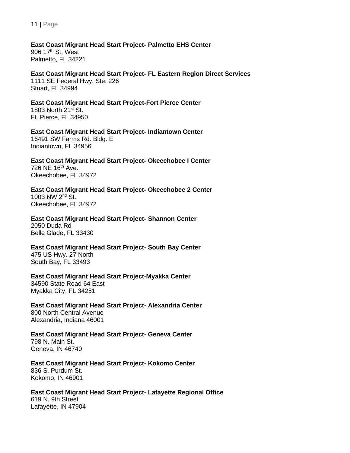**East Coast Migrant Head Start Project- Palmetto EHS Center** 906 17th St. West Palmetto, FL 34221

**East Coast Migrant Head Start Project- FL Eastern Region Direct Services** 1111 SE Federal Hwy, Ste. 226 Stuart, FL 34994

**East Coast Migrant Head Start Project-Fort Pierce Center** 1803 North 21st St. Ft. Pierce, FL 34950

**East Coast Migrant Head Start Project- Indiantown Center** 16491 SW Farms Rd. Bldg. E Indiantown, FL 34956

**East Coast Migrant Head Start Project- Okeechobee I Center** 726 NE 16th Ave. Okeechobee, FL 34972

**East Coast Migrant Head Start Project- Okeechobee 2 Center** 1003 NW 2nd St. Okeechobee, FL 34972

**East Coast Migrant Head Start Project- Shannon Center** 2050 Duda Rd Belle Glade, FL 33430

**East Coast Migrant Head Start Project- South Bay Center** 475 US Hwy. 27 North South Bay, FL 33493

**East Coast Migrant Head Start Project-Myakka Center** 34590 State Road 64 East Myakka City, FL 34251

**East Coast Migrant Head Start Project- Alexandria Center** 800 North Central Avenue Alexandria, Indiana 46001

**East Coast Migrant Head Start Project- Geneva Center** 798 N. Main St. Geneva, IN 46740

**East Coast Migrant Head Start Project- Kokomo Center** 836 S. Purdum St. Kokomo, IN 46901

**East Coast Migrant Head Start Project- Lafayette Regional Office** 619 N. 9th Street

Lafayette, IN 47904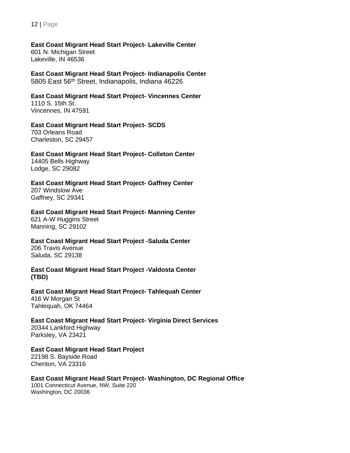### **East Coast Migrant Head Start Project- Lakeville Center**

601 N. Michigan Street Lakeville, IN 46536

**East Coast Migrant Head Start Project- Indianapolis Center** 5805 East 56th Street, Indianapolis, Indiana 46226

#### **East Coast Migrant Head Start Project- Vincennes Center** 1110 S. 15th St. Vincennes, IN 47591

**East Coast Migrant Head Start Project- SCDS**

703 Orleans Road Charleston, SC 29457

## **East Coast Migrant Head Start Project- Colleton Center** 14405 Bells Highway

Lodge, SC 29082

#### **East Coast Migrant Head Start Project- Gaffney Center** 207 Windslow Ave Gaffney, SC 29341

## **East Coast Migrant Head Start Project- Manning Center**

621 A-W Huggins Street Manning, SC 29102

### **East Coast Migrant Head Start Project -Saluda Center**

206 Travis Avenue Saluda, SC 29138

### **East Coast Migrant Head Start Project -Valdosta Center (TBD)**

### **East Coast Migrant Head Start Project- Tahlequah Center**

416 W Morgan St Tahlequah, OK 74464

# **East Coast Migrant Head Start Project- Virginia Direct Services**

20344 Lankford Highway Parksley, VA 23421

# **East Coast Migrant Head Start Project**

22198 S. Bayside Road Cheriton, VA 23316

# **East Coast Migrant Head Start Project- Washington, DC Regional Office**

1001 Connecticut Avenue, NW, Suite 220 Washington, DC 20036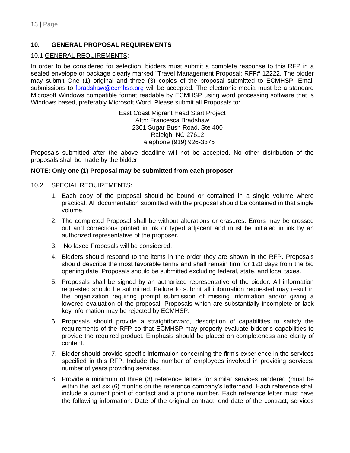# **10. GENERAL PROPOSAL REQUIREMENTS**

### 10.1 GENERAL REQUIREMENTS:

In order to be considered for selection, bidders must submit a complete response to this RFP in a sealed envelope or package clearly marked "Travel Management Proposal; RFP# 12222. The bidder may submit One (1) original and three (3) copies of the proposal submitted to ECMHSP. Email submissions to [fbradshaw@ecmhsp.org](mailto:fbradshaw@ecmhsp.org) will be accepted. The electronic media must be a standard Microsoft Windows compatible format readable by ECMHSP using word processing software that is Windows based, preferably Microsoft Word. Please submit all Proposals to:

> East Coast Migrant Head Start Project Attn: Francesca Bradshaw 2301 Sugar Bush Road, Ste 400 Raleigh, NC 27612 Telephone (919) 926-3375

Proposals submitted after the above deadline will not be accepted. No other distribution of the proposals shall be made by the bidder.

### **NOTE: Only one (1) Proposal may be submitted from each proposer**.

### 10.2 SPECIAL REQUIREMENTS:

- 1. Each copy of the proposal should be bound or contained in a single volume where practical. All documentation submitted with the proposal should be contained in that single volume.
- 2. The completed Proposal shall be without alterations or erasures. Errors may be crossed out and corrections printed in ink or typed adjacent and must be initialed in ink by an authorized representative of the proposer.
- 3. No faxed Proposals will be considered.
- 4. Bidders should respond to the items in the order they are shown in the RFP. Proposals should describe the most favorable terms and shall remain firm for 120 days from the bid opening date. Proposals should be submitted excluding federal, state, and local taxes.
- 5. Proposals shall be signed by an authorized representative of the bidder. All information requested should be submitted. Failure to submit all information requested may result in the organization requiring prompt submission of missing information and/or giving a lowered evaluation of the proposal. Proposals which are substantially incomplete or lack key information may be rejected by ECMHSP.
- 6. Proposals should provide a straightforward, description of capabilities to satisfy the requirements of the RFP so that ECMHSP may properly evaluate bidder's capabilities to provide the required product. Emphasis should be placed on completeness and clarity of content.
- 7. Bidder should provide specific information concerning the firm's experience in the services specified in this RFP. Include the number of employees involved in providing services; number of years providing services.
- 8. Provide a minimum of three (3) reference letters for similar services rendered (must be within the last six (6) months on the reference company's letterhead. Each reference shall include a current point of contact and a phone number. Each reference letter must have the following information: Date of the original contract; end date of the contract; services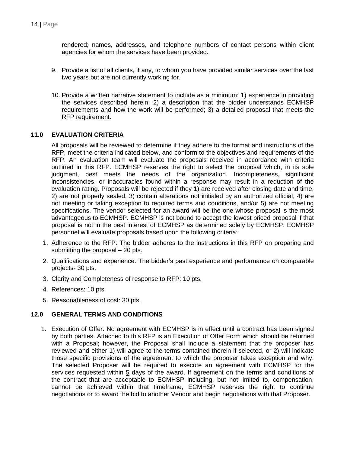rendered; names, addresses, and telephone numbers of contact persons within client agencies for whom the services have been provided.

- 9. Provide a list of all clients, if any, to whom you have provided similar services over the last two years but are not currently working for.
- 10. Provide a written narrative statement to include as a minimum: 1) experience in providing the services described herein; 2) a description that the bidder understands ECMHSP requirements and how the work will be performed; 3) a detailed proposal that meets the RFP requirement.

### **11.0 EVALUATION CRITERIA**

All proposals will be reviewed to determine if they adhere to the format and instructions of the RFP, meet the criteria indicated below, and conform to the objectives and requirements of the RFP. An evaluation team will evaluate the proposals received in accordance with criteria outlined in this RFP. ECMHSP reserves the right to select the proposal which, in its sole judgment, best meets the needs of the organization. Incompleteness, significant inconsistencies, or inaccuracies found within a response may result in a reduction of the evaluation rating. Proposals will be rejected if they 1) are received after closing date and time, 2) are not properly sealed, 3) contain alterations not initialed by an authorized official, 4) are not meeting or taking exception to required terms and conditions, and/or 5) are not meeting specifications. The vendor selected for an award will be the one whose proposal is the most advantageous to ECMHSP. ECMHSP is not bound to accept the lowest priced proposal if that proposal is not in the best interest of ECMHSP as determined solely by ECMHSP. ECMHSP personnel will evaluate proposals based upon the following criteria:

- 1. Adherence to the RFP: The bidder adheres to the instructions in this RFP on preparing and submitting the proposal – 20 pts.
- 2. Qualifications and experience: The bidder's past experience and performance on comparable projects- 30 pts.
- 3. Clarity and Completeness of response to RFP: 10 pts.
- 4. References: 10 pts.
- 5. Reasonableness of cost: 30 pts.

### **12.0 GENERAL TERMS AND CONDITIONS**

1. Execution of Offer: No agreement with ECMHSP is in effect until a contract has been signed by both parties. Attached to this RFP is an Execution of Offer Form which should be returned with a Proposal; however, the Proposal shall include a statement that the proposer has reviewed and either 1) will agree to the terms contained therein if selected, or 2) will indicate those specific provisions of the agreement to which the proposer takes exception and why. The selected Proposer will be required to execute an agreement with ECMHSP for the services requested within 5 days of the award. If agreement on the terms and conditions of the contract that are acceptable to ECMHSP including, but not limited to, compensation, cannot be achieved within that timeframe, ECMHSP reserves the right to continue negotiations or to award the bid to another Vendor and begin negotiations with that Proposer.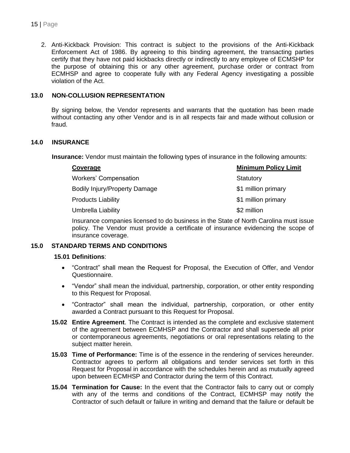2. Anti-Kickback Provision: This contract is subject to the provisions of the Anti-Kickback Enforcement Act of 1986. By agreeing to this binding agreement, the transacting parties certify that they have not paid kickbacks directly or indirectly to any employee of ECMSHP for the purpose of obtaining this or any other agreement, purchase order or contract from ECMHSP and agree to cooperate fully with any Federal Agency investigating a possible violation of the Act.

## **13.0 NON-COLLUSION REPRESENTATION**

By signing below, the Vendor represents and warrants that the quotation has been made without contacting any other Vendor and is in all respects fair and made without collusion or fraud.

### **14.0 INSURANCE**

 **Insurance:** Vendor must maintain the following types of insurance in the following amounts:

| <b>Minimum Policy Limit</b> |
|-----------------------------|
| Statutory                   |
| \$1 million primary         |
| \$1 million primary         |
| \$2 million                 |
|                             |

Insurance companies licensed to do business in the State of North Carolina must issue policy. The Vendor must provide a certificate of insurance evidencing the scope of insurance coverage.

#### **15.0 STANDARD TERMS AND CONDITIONS**

#### **15.01 Definitions**:

- "Contract" shall mean the Request for Proposal, the Execution of Offer, and Vendor Questionnaire.
- "Vendor" shall mean the individual, partnership, corporation, or other entity responding to this Request for Proposal.
- "Contractor" shall mean the individual, partnership, corporation, or other entity awarded a Contract pursuant to this Request for Proposal.
- **15.02 Entire Agreement**. The Contract is intended as the complete and exclusive statement of the agreement between ECMHSP and the Contractor and shall supersede all prior or contemporaneous agreements, negotiations or oral representations relating to the subject matter herein.
- **15.03 Time of Performance:** Time is of the essence in the rendering of services hereunder. Contractor agrees to perform all obligations and tender services set forth in this Request for Proposal in accordance with the schedules herein and as mutually agreed upon between ECMHSP and Contractor during the term of this Contract.
- **15.04 Termination for Cause:** In the event that the Contractor fails to carry out or comply with any of the terms and conditions of the Contract, ECMHSP may notify the Contractor of such default or failure in writing and demand that the failure or default be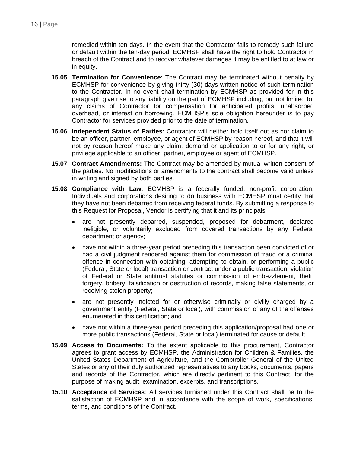remedied within ten days. In the event that the Contractor fails to remedy such failure or default within the ten-day period, ECMHSP shall have the right to hold Contractor in breach of the Contract and to recover whatever damages it may be entitled to at law or in equity.

- **15.05 Termination for Convenience**: The Contract may be terminated without penalty by ECMHSP for convenience by giving thirty (30) days written notice of such termination to the Contractor. In no event shall termination by ECMHSP as provided for in this paragraph give rise to any liability on the part of ECMHSP including, but not limited to, any claims of Contractor for compensation for anticipated profits, unabsorbed overhead, or interest on borrowing. ECMHSP's sole obligation hereunder is to pay Contractor for services provided prior to the date of termination.
- **15.06 Independent Status of Parties**: Contractor will neither hold itself out as nor claim to be an officer, partner, employee, or agent of ECMHSP by reason hereof, and that it will not by reason hereof make any claim, demand or application to or for any right, or privilege applicable to an officer, partner, employee or agent of ECMHSP.
- **15.07 Contract Amendments:** The Contract may be amended by mutual written consent of the parties. No modifications or amendments to the contract shall become valid unless in writing and signed by both parties.
- **15.08 Compliance with Law**: ECMHSP is a federally funded, non-profit corporation. Individuals and corporations desiring to do business with ECMHSP must certify that they have not been debarred from receiving federal funds. By submitting a response to this Request for Proposal, Vendor is certifying that it and its principals:
	- are not presently debarred, suspended, proposed for debarment, declared ineligible, or voluntarily excluded from covered transactions by any Federal department or agency;
	- have not within a three-year period preceding this transaction been convicted of or had a civil judgment rendered against them for commission of fraud or a criminal offense in connection with obtaining, attempting to obtain, or performing a public (Federal, State or local) transaction or contract under a public transaction; violation of Federal or State antitrust statutes or commission of embezzlement, theft, forgery, bribery, falsification or destruction of records, making false statements, or receiving stolen property;
	- are not presently indicted for or otherwise criminally or civilly charged by a government entity (Federal, State or local), with commission of any of the offenses enumerated in this certification; and
	- have not within a three-year period preceding this application/proposal had one or more public transactions (Federal, State or local) terminated for cause or default.
- **15.09 Access to Documents:** To the extent applicable to this procurement, Contractor agrees to grant access by ECMHSP, the Administration for Children & Families, the United States Department of Agriculture, and the Comptroller General of the United States or any of their duly authorized representatives to any books, documents, papers and records of the Contractor, which are directly pertinent to this Contract, for the purpose of making audit, examination, excerpts, and transcriptions.
- **15.10 Acceptance of Services**: All services furnished under this Contract shall be to the satisfaction of ECMHSP and in accordance with the scope of work, specifications, terms, and conditions of the Contract.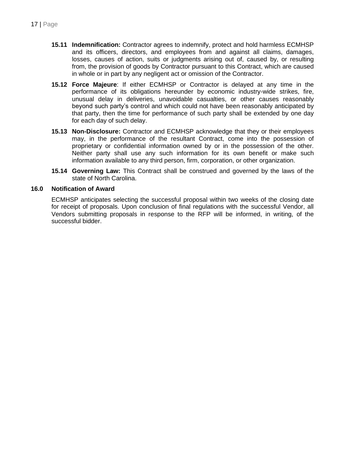- **15.11 Indemnification:** Contractor agrees to indemnify, protect and hold harmless ECMHSP and its officers, directors, and employees from and against all claims, damages, losses, causes of action, suits or judgments arising out of, caused by, or resulting from, the provision of goods by Contractor pursuant to this Contract, which are caused in whole or in part by any negligent act or omission of the Contractor.
- **15.12 Force Majeure**: If either ECMHSP or Contractor is delayed at any time in the performance of its obligations hereunder by economic industry-wide strikes, fire, unusual delay in deliveries, unavoidable casualties, or other causes reasonably beyond such party's control and which could not have been reasonably anticipated by that party, then the time for performance of such party shall be extended by one day for each day of such delay.
- **15.13 Non-Disclosure:** Contractor and ECMHSP acknowledge that they or their employees may, in the performance of the resultant Contract, come into the possession of proprietary or confidential information owned by or in the possession of the other. Neither party shall use any such information for its own benefit or make such information available to any third person, firm, corporation, or other organization.
- **15.14 Governing Law:** This Contract shall be construed and governed by the laws of the state of North Carolina.

### **16.0 Notification of Award**

ECMHSP anticipates selecting the successful proposal within two weeks of the closing date for receipt of proposals. Upon conclusion of final regulations with the successful Vendor, all Vendors submitting proposals in response to the RFP will be informed, in writing, of the successful bidder.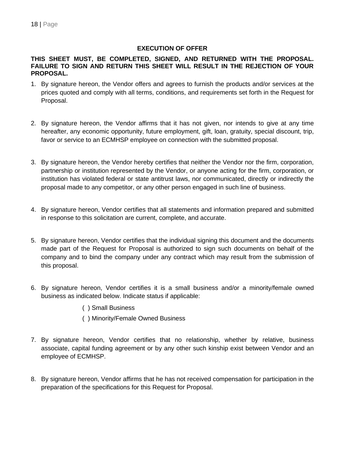## **EXECUTION OF OFFER**

### **THIS SHEET MUST, BE COMPLETED, SIGNED, AND RETURNED WITH THE PROPOSAL. FAILURE TO SIGN AND RETURN THIS SHEET WILL RESULT IN THE REJECTION OF YOUR PROPOSAL.**

- 1. By signature hereon, the Vendor offers and agrees to furnish the products and/or services at the prices quoted and comply with all terms, conditions, and requirements set forth in the Request for Proposal.
- 2. By signature hereon, the Vendor affirms that it has not given, nor intends to give at any time hereafter, any economic opportunity, future employment, gift, loan, gratuity, special discount, trip, favor or service to an ECMHSP employee on connection with the submitted proposal.
- 3. By signature hereon, the Vendor hereby certifies that neither the Vendor nor the firm, corporation, partnership or institution represented by the Vendor, or anyone acting for the firm, corporation, or institution has violated federal or state antitrust laws, nor communicated, directly or indirectly the proposal made to any competitor, or any other person engaged in such line of business.
- 4. By signature hereon, Vendor certifies that all statements and information prepared and submitted in response to this solicitation are current, complete, and accurate.
- 5. By signature hereon, Vendor certifies that the individual signing this document and the documents made part of the Request for Proposal is authorized to sign such documents on behalf of the company and to bind the company under any contract which may result from the submission of this proposal.
- 6. By signature hereon, Vendor certifies it is a small business and/or a minority/female owned business as indicated below. Indicate status if applicable:
	- ( ) Small Business
	- ( ) Minority/Female Owned Business
- 7. By signature hereon, Vendor certifies that no relationship, whether by relative, business associate, capital funding agreement or by any other such kinship exist between Vendor and an employee of ECMHSP.
- 8. By signature hereon, Vendor affirms that he has not received compensation for participation in the preparation of the specifications for this Request for Proposal.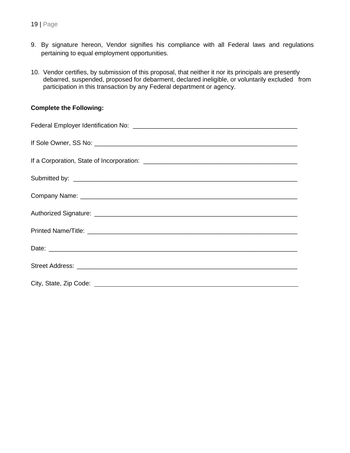- 9. By signature hereon, Vendor signifies his compliance with all Federal laws and regulations pertaining to equal employment opportunities.
- 10. Vendor certifies, by submission of this proposal, that neither it nor its principals are presently debarred, suspended, proposed for debarment, declared ineligible, or voluntarily excluded from participation in this transaction by any Federal department or agency.

### **Complete the Following:**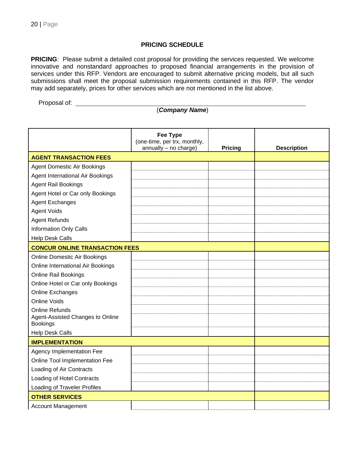### **PRICING SCHEDULE**

**PRICING**: Please submit a detailed cost proposal for providing the services requested. We welcome innovative and nonstandard approaches to proposed financial arrangements in the provision of services under this RFP. Vendors are encouraged to submit alternative pricing models, but all such submissions shall meet the proposal submission requirements contained in this RFP. The vendor may add separately, prices for other services which are not mentioned in the list above.

Proposal of:

# (*Company Name*)

|                                         | <b>Fee Type</b><br>(one-time, per trx, monthly,<br>annually - no charge) | <b>Pricing</b> | <b>Description</b> |
|-----------------------------------------|--------------------------------------------------------------------------|----------------|--------------------|
| <b>AGENT TRANSACTION FEES</b>           |                                                                          |                |                    |
| <b>Agent Domestic Air Bookings</b>      |                                                                          |                |                    |
| <b>Agent International Air Bookings</b> |                                                                          |                |                    |
| <b>Agent Rail Bookings</b>              |                                                                          |                |                    |
| Agent Hotel or Car only Bookings        |                                                                          |                |                    |
| <b>Agent Exchanges</b>                  |                                                                          |                |                    |
| <b>Agent Voids</b>                      |                                                                          |                |                    |
| <b>Agent Refunds</b>                    |                                                                          |                |                    |
| <b>Information Only Calls</b>           |                                                                          |                |                    |
| <b>Help Desk Calls</b>                  |                                                                          |                |                    |
| <b>CONCUR ONLINE TRANSACTION FEES</b>   |                                                                          |                |                    |
| <b>Online Domestic Air Bookings</b>     |                                                                          |                |                    |
| Online International Air Bookings       |                                                                          |                |                    |
| <b>Online Rail Bookings</b>             |                                                                          |                |                    |
| Online Hotel or Car only Bookings       |                                                                          |                |                    |
| Online Exchanges                        |                                                                          |                |                    |
| <b>Online Voids</b>                     |                                                                          |                |                    |
| <b>Online Refunds</b>                   |                                                                          |                |                    |
| Agent-Assisted Changes to Online        |                                                                          |                |                    |
| <b>Bookings</b>                         |                                                                          |                |                    |
| <b>Help Desk Calls</b>                  |                                                                          |                |                    |
| <b>IMPLEMENTATION</b>                   |                                                                          |                |                    |
| <b>Agency Implementation Fee</b>        |                                                                          |                |                    |
| Online Tool Implementation Fee          |                                                                          |                |                    |
| Loading of Air Contracts                |                                                                          |                |                    |
| Loading of Hotel Contracts              |                                                                          |                |                    |
| <b>Loading of Traveler Profiles</b>     |                                                                          |                |                    |
| <b>OTHER SERVICES</b>                   |                                                                          |                |                    |
| <b>Account Management</b>               |                                                                          |                |                    |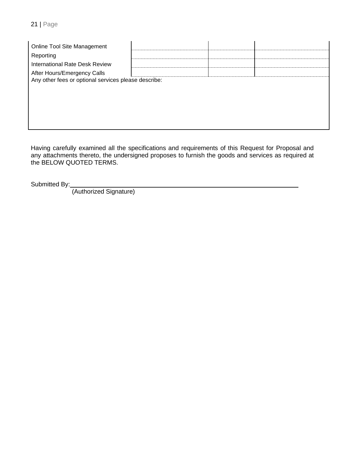| Online Tool Site Management                          |  |  |
|------------------------------------------------------|--|--|
| Reporting                                            |  |  |
| International Rate Desk Review                       |  |  |
| After Hours/Emergency Calls                          |  |  |
| Any other fees or optional services please describe: |  |  |
|                                                      |  |  |
|                                                      |  |  |
|                                                      |  |  |
|                                                      |  |  |
|                                                      |  |  |

Having carefully examined all the specifications and requirements of this Request for Proposal and any attachments thereto, the undersigned proposes to furnish the goods and services as required at the BELOW QUOTED TERMS.

Submitted By:

(Authorized Signature)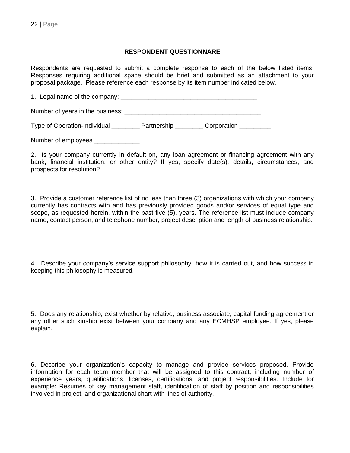### **RESPONDENT QUESTIONNARE**

Respondents are requested to submit a complete response to each of the below listed items. Responses requiring additional space should be brief and submitted as an attachment to your proposal package. Please reference each response by its item number indicated below.

1. Legal name of the company: \_\_\_\_\_\_\_\_\_\_\_\_\_\_\_\_\_\_\_\_\_\_\_\_\_\_\_\_\_\_\_\_\_\_\_\_\_\_\_

Number of years in the business: \_\_\_\_\_\_\_\_\_\_\_\_\_\_\_\_\_\_\_\_\_\_\_\_\_\_\_\_\_\_\_\_\_\_\_\_\_\_\_

Type of Operation-Individual \_\_\_\_\_\_\_\_\_ Partnership \_\_\_\_\_\_\_\_ Corporation \_\_\_\_\_\_\_\_

Number of employees \_\_\_\_\_\_\_\_\_\_\_\_\_\_

2. Is your company currently in default on, any loan agreement or financing agreement with any bank, financial institution, or other entity? If yes, specify date(s), details, circumstances, and prospects for resolution?

3. Provide a customer reference list of no less than three (3) organizations with which your company currently has contracts with and has previously provided goods and/or services of equal type and scope, as requested herein, within the past five (5), years. The reference list must include company name, contact person, and telephone number, project description and length of business relationship.

4. Describe your company's service support philosophy, how it is carried out, and how success in keeping this philosophy is measured.

5. Does any relationship, exist whether by relative, business associate, capital funding agreement or any other such kinship exist between your company and any ECMHSP employee. If yes, please explain.

6. Describe your organization's capacity to manage and provide services proposed. Provide information for each team member that will be assigned to this contract; including number of experience years, qualifications, licenses, certifications, and project responsibilities. Include for example: Resumes of key management staff, identification of staff by position and responsibilities involved in project, and organizational chart with lines of authority.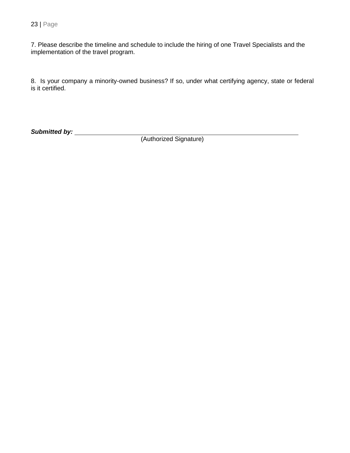7. Please describe the timeline and schedule to include the hiring of one Travel Specialists and the implementation of the travel program.

8. Is your company a minority-owned business? If so, under what certifying agency, state or federal is it certified.

*Submitted by:* 

(Authorized Signature)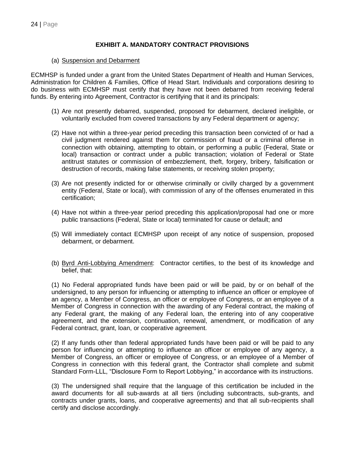### **EXHIBIT A. MANDATORY CONTRACT PROVISIONS**

### (a) Suspension and Debarment

ECMHSP is funded under a grant from the United States Department of Health and Human Services, Administration for Children & Families, Office of Head Start. Individuals and corporations desiring to do business with ECMHSP must certify that they have not been debarred from receiving federal funds. By entering into Agreement, Contractor is certifying that it and its principals:

- (1) Are not presently debarred, suspended, proposed for debarment, declared ineligible, or voluntarily excluded from covered transactions by any Federal department or agency;
- (2) Have not within a three-year period preceding this transaction been convicted of or had a civil judgment rendered against them for commission of fraud or a criminal offense in connection with obtaining, attempting to obtain, or performing a public (Federal, State or local) transaction or contract under a public transaction; violation of Federal or State antitrust statutes or commission of embezzlement, theft, forgery, bribery, falsification or destruction of records, making false statements, or receiving stolen property;
- (3) Are not presently indicted for or otherwise criminally or civilly charged by a government entity (Federal, State or local), with commission of any of the offenses enumerated in this certification;
- (4) Have not within a three-year period preceding this application/proposal had one or more public transactions (Federal, State or local) terminated for cause or default; and
- (5) Will immediately contact ECMHSP upon receipt of any notice of suspension, proposed debarment, or debarment.
- (b) Byrd Anti-Lobbying Amendment: Contractor certifies, to the best of its knowledge and belief, that:

(1) No Federal appropriated funds have been paid or will be paid, by or on behalf of the undersigned, to any person for influencing or attempting to influence an officer or employee of an agency, a Member of Congress, an officer or employee of Congress, or an employee of a Member of Congress in connection with the awarding of any Federal contract, the making of any Federal grant, the making of any Federal loan, the entering into of any cooperative agreement, and the extension, continuation, renewal, amendment, or modification of any Federal contract, grant, loan, or cooperative agreement.

(2) If any funds other than federal appropriated funds have been paid or will be paid to any person for influencing or attempting to influence an officer or employee of any agency, a Member of Congress, an officer or employee of Congress, or an employee of a Member of Congress in connection with this federal grant, the Contractor shall complete and submit Standard Form-LLL, "Disclosure Form to Report Lobbying," in accordance with its instructions.

(3) The undersigned shall require that the language of this certification be included in the award documents for all sub-awards at all tiers (including subcontracts, sub-grants, and contracts under grants, loans, and cooperative agreements) and that all sub-recipients shall certify and disclose accordingly.